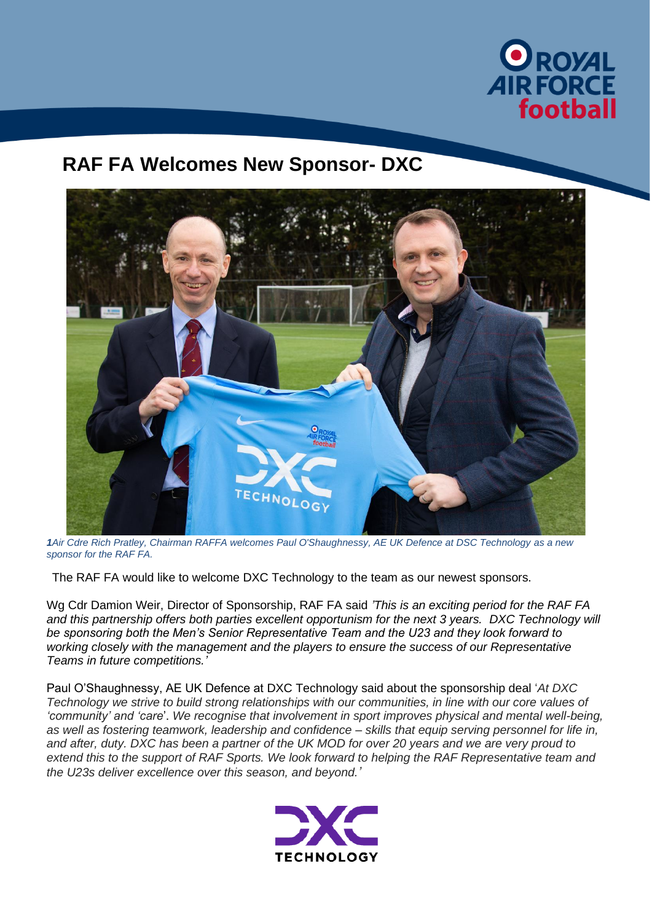

## **RAF FA Welcomes New Sponsor- DXC**



*1Air Cdre Rich Pratley, Chairman RAFFA welcomes Paul O'Shaughnessy, AE UK Defence at DSC Technology as a new sponsor for the RAF FA.*

The RAF FA would like to welcome DXC Technology to the team as our newest sponsors.

Wg Cdr Damion Weir, Director of Sponsorship, RAF FA said *'This is an exciting period for the RAF FA and this partnership offers both parties excellent opportunism for the next 3 years. DXC Technology will be sponsoring both the Men's Senior Representative Team and the U23 and they look forward to working closely with the management and the players to ensure the success of our Representative Teams in future competitions.'*

Paul O'Shaughnessy, AE UK Defence at DXC Technology said about the sponsorship deal '*At DXC Technology we strive to build strong relationships with our communities, in line with our core values of 'community' and 'care*'. *We recognise that involvement in sport improves physical and mental well-being, as well as fostering teamwork, leadership and confidence – skills that equip serving personnel for life in, and after, duty. DXC has been a partner of the UK MOD for over 20 years and we are very proud to extend this to the support of RAF Sports. We look forward to helping the RAF Representative team and the U23s deliver excellence over this season, and beyond.'*